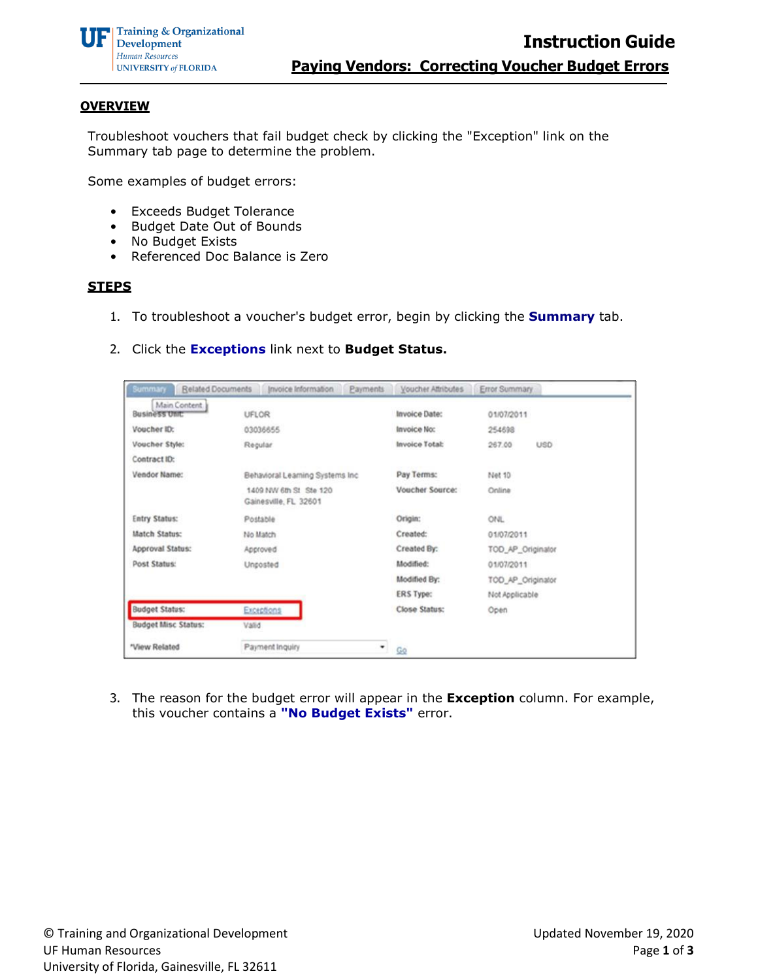### **OVERVIEW**

Troubleshoot vouchers that fail budget check by clicking the "Exception" link on the Summary tab page to determine the problem.

Some examples of budget errors:

- Exceeds Budget Tolerance
- Budget Date Out of Bounds
- No Budget Exists
- Referenced Doc Balance is Zero

## **STEPS**

- 1. To troubleshoot a voucher's budget error, begin by clicking the **Summary** tab.
- 2. Click the **Exceptions** link next to **Budget Status.**

| Summary<br>Related Documents   | Invoice Information<br>Payments                 | Voucher Attributes   | Error Summary        |
|--------------------------------|-------------------------------------------------|----------------------|----------------------|
| Main Content<br>Business Unit: | UFLOR                                           | <b>Invoice Date:</b> | 01/07/2011           |
| Voucher ID:                    | 03036655                                        | <b>Invoice No:</b>   | 254698               |
| Voucher Style:                 | Regular                                         | Invoice Total:       | 267.00<br><b>USD</b> |
| Contract ID:                   |                                                 |                      |                      |
| Vendor Name:                   | Behavioral Learning Systems Inc.                | Pay Terms:           | Net 10               |
|                                | 1409 NW 6th St Ste 120<br>Gainesville, FL 32601 | Voucher Source:      | Online               |
| <b>Entry Status:</b>           | Postable                                        | Origin:              | <b>ONL</b>           |
| <b>Match Status:</b>           | No Match                                        | Created:             | 01/07/2011           |
| Approval Status:               | Approved                                        | Created By:          | TOD_AP_Originator    |
| Post Status:                   | Unposted                                        | Modified:            | 01/07/2011           |
|                                |                                                 | Modified By:         | TOD_AP_Originator    |
|                                |                                                 | ERS Type:            | Not Applicable       |
| <b>Budget Status:</b>          | Exceptions                                      | Close Status:        | Open                 |
| <b>Budget Misc Status:</b>     | Valid                                           |                      |                      |
| *View Related                  | Payment Inquiry<br>$\mathbf{v}_{\parallel}$     | Go                   |                      |

3. The reason for the budget error will appear in the **Exception** column. For example, this voucher contains a **"No Budget Exists"** error.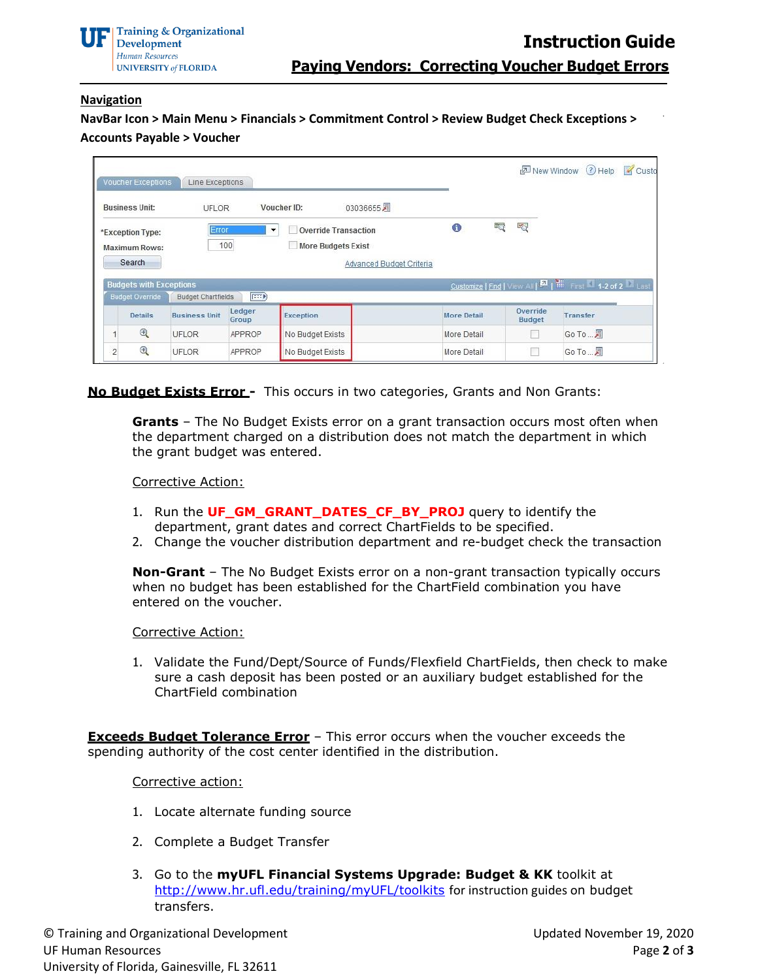

# **Navigation**

**NavBar Icon > Main Menu > Financials > Commitment Control > Review Budget Check Exceptions > Accounts Payable > Voucher**

| Voucher Exceptions                       | Line Exceptions           |                               |                                                                           |                    |   |                           | New Window (?) Help                                        | Custo |
|------------------------------------------|---------------------------|-------------------------------|---------------------------------------------------------------------------|--------------------|---|---------------------------|------------------------------------------------------------|-------|
| <b>Business Unit:</b>                    | <b>UFLOR</b>              |                               | 03036655周<br>Voucher ID:                                                  |                    |   |                           |                                                            |       |
| *Exception Type:<br><b>Maximum Rows:</b> | Error.                    | 100                           | <b>Override Transaction</b><br>$\blacktriangledown$<br>More Budgets Exist | 6                  | 呍 | Y <sub>Q</sub>            |                                                            |       |
| Search                                   |                           |                               | Advanced Budget Criteria                                                  |                    |   |                           |                                                            |       |
| <b>Budgets with Exceptions</b>           |                           |                               |                                                                           |                    |   |                           | Customize   Find   View All   2   Hill First 1-2 of 2 Last |       |
| Budget Override                          | <b>Budget Chartfields</b> | $\left  \overline{1} \right $ |                                                                           |                    |   |                           |                                                            |       |
| <b>Details</b>                           | <b>Business Unit</b>      | Ledger<br>Group               | Exception                                                                 | <b>More Detail</b> |   | Override<br><b>Budget</b> | Transfer                                                   |       |
| $\bigoplus$                              | UFLOR                     | APPROP                        | No Budget Exists                                                          | More Detail        |   |                           | Go To  肩                                                   |       |

**No Budget Exists Error -** This occurs in two categories, Grants and Non Grants:

**Grants** – The No Budget Exists error on a grant transaction occurs most often when the department charged on a distribution does not match the department in which the grant budget was entered.

### Corrective Action:

- 1. Run the **UF\_GM\_GRANT\_DATES\_CF\_BY\_PROJ** query to identify the department, grant dates and correct ChartFields to be specified.
- 2. Change the voucher distribution department and re-budget check the transaction

**Non-Grant** – The No Budget Exists error on a non-grant transaction typically occurs when no budget has been established for the ChartField combination you have entered on the voucher.

#### Corrective Action:

1. Validate the Fund/Dept/Source of Funds/Flexfield ChartFields, then check to make sure a cash deposit has been posted or an auxiliary budget established for the ChartField combination

**Exceeds Budget Tolerance Error** – This error occurs when the voucher exceeds the spending authority of the cost center identified in the distribution.

#### Corrective action:

- 1. Locate alternate funding source
- 2. Complete a Budget Transfer
- 3. Go to the **myUFL Financial Systems Upgrade: Budget & KK** toolkit at <http://www.hr.ufl.edu/training/myUFL/toolkits> for instruction guides on budget transfers.

© Training and Organizational Development UF Human Resources University of Florida, Gainesville, FL 32611